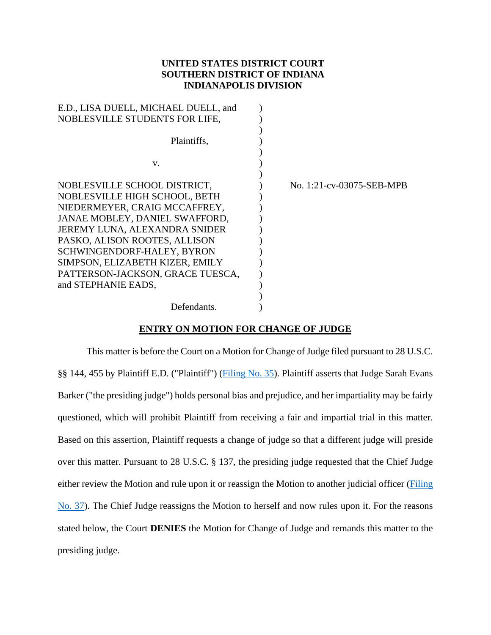# **UNITED STATES DISTRICT COURT SOUTHERN DISTRICT OF INDIANA INDIANAPOLIS DIVISION**

| E.D., LISA DUELL, MICHAEL DUELL, and |                           |
|--------------------------------------|---------------------------|
| NOBLESVILLE STUDENTS FOR LIFE,       |                           |
|                                      |                           |
| Plaintiffs,                          |                           |
|                                      |                           |
| V.                                   |                           |
|                                      |                           |
| NOBLESVILLE SCHOOL DISTRICT,         | No. 1:21-cv-03075-SEB-MPB |
| NOBLESVILLE HIGH SCHOOL, BETH        |                           |
| NIEDERMEYER, CRAIG MCCAFFREY,        |                           |
| JANAE MOBLEY, DANIEL SWAFFORD,       |                           |
| JEREMY LUNA, ALEXANDRA SNIDER        |                           |
| PASKO, ALISON ROOTES, ALLISON        |                           |
| SCHWINGENDORF-HALEY, BYRON           |                           |
| SIMPSON, ELIZABETH KIZER, EMILY      |                           |
| PATTERSON-JACKSON, GRACE TUESCA,     |                           |
| and STEPHANIE EADS,                  |                           |
|                                      |                           |
| Defendants.                          |                           |

## **ENTRY ON MOTION FOR CHANGE OF JUDGE**

This matter is before the Court on a Motion for Change of Judge filed pursuant to 28 U.S.C. §§ 144, 455 by Plaintiff E.D. ("Plaintiff") [\(Filing No. 35\)](https://ecf.insd.uscourts.gov/doc1/07319049742). Plaintiff asserts that Judge Sarah Evans Barker ("the presiding judge") holds personal bias and prejudice, and her impartiality may be fairly questioned, which will prohibit Plaintiff from receiving a fair and impartial trial in this matter. Based on this assertion, Plaintiff requests a change of judge so that a different judge will preside over this matter. Pursuant to 28 U.S.C. § 137, the presiding judge requested that the Chief Judge either review the Motion and rule upon it or reassign the Motion to another judicial officer (Filing [No. 37\)](https://ecf.insd.uscourts.gov/doc1/07319053199). The Chief Judge reassigns the Motion to herself and now rules upon it. For the reasons stated below, the Court **DENIES** the Motion for Change of Judge and remands this matter to the presiding judge.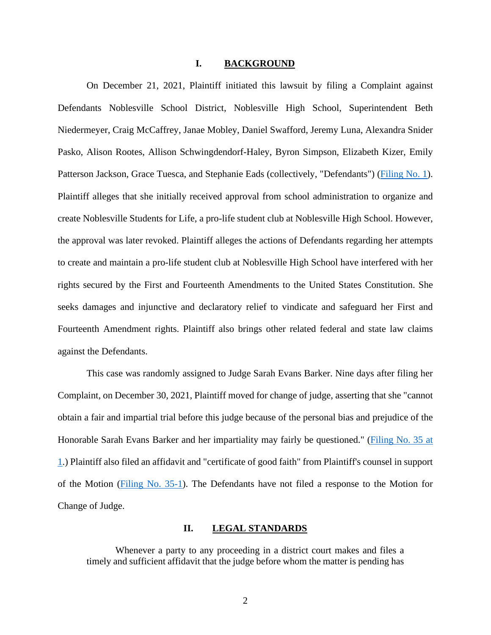### **I. BACKGROUND**

On December 21, 2021, Plaintiff initiated this lawsuit by filing a Complaint against Defendants Noblesville School District, Noblesville High School, Superintendent Beth Niedermeyer, Craig McCaffrey, Janae Mobley, Daniel Swafford, Jeremy Luna, Alexandra Snider Pasko, Alison Rootes, Allison Schwingdendorf-Haley, Byron Simpson, Elizabeth Kizer, Emily Patterson Jackson, Grace Tuesca, and Stephanie Eads (collectively, "Defendants") [\(Filing No. 1\)](https://ecf.insd.uscourts.gov/doc1/07319036796). Plaintiff alleges that she initially received approval from school administration to organize and create Noblesville Students for Life, a pro-life student club at Noblesville High School. However, the approval was later revoked. Plaintiff alleges the actions of Defendants regarding her attempts to create and maintain a pro-life student club at Noblesville High School have interfered with her rights secured by the First and Fourteenth Amendments to the United States Constitution. She seeks damages and injunctive and declaratory relief to vindicate and safeguard her First and Fourteenth Amendment rights. Plaintiff also brings other related federal and state law claims against the Defendants.

This case was randomly assigned to Judge Sarah Evans Barker. Nine days after filing her Complaint, on December 30, 2021, Plaintiff moved for change of judge, asserting that she "cannot obtain a fair and impartial trial before this judge because of the personal bias and prejudice of the Honorable Sarah Evans Barker and her impartiality may fairly be questioned." [\(Filing No. 35 at](https://ecf.insd.uscourts.gov/doc1/07319049742?page=1)  [1.](https://ecf.insd.uscourts.gov/doc1/07319049742?page=1)) Plaintiff also filed an affidavit and "certificate of good faith" from Plaintiff's counsel in support of the Motion (Filing No.  $35-1$ ). The Defendants have not filed a response to the Motion for Change of Judge.

### **II. LEGAL STANDARDS**

Whenever a party to any proceeding in a district court makes and files a timely and sufficient affidavit that the judge before whom the matter is pending has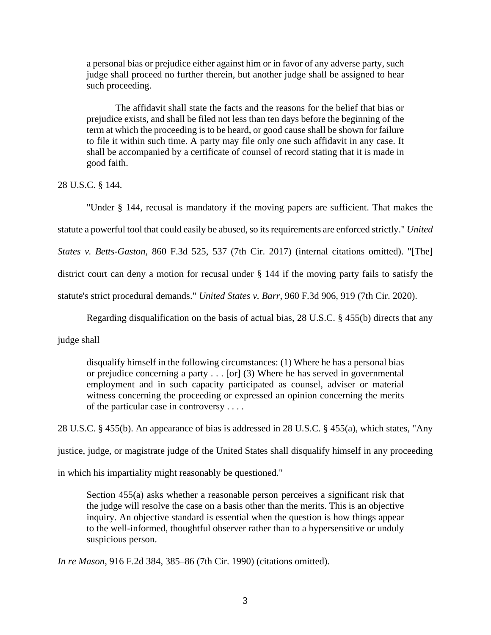a personal bias or prejudice either against him or in favor of any adverse party, such judge shall proceed no further therein, but another judge shall be assigned to hear such proceeding.

The affidavit shall state the facts and the reasons for the belief that bias or prejudice exists, and shall be filed not less than ten days before the beginning of the term at which the proceeding is to be heard, or good cause shall be shown for failure to file it within such time. A party may file only one such affidavit in any case. It shall be accompanied by a certificate of counsel of record stating that it is made in good faith.

28 U.S.C. § 144.

"Under § 144, recusal is mandatory if the moving papers are sufficient. That makes the

statute a powerful tool that could easily be abused, so its requirements are enforced strictly." *United* 

*States v. Betts-Gaston*, 860 F.3d 525, 537 (7th Cir. 2017) (internal citations omitted). "[The]

district court can deny a motion for recusal under § 144 if the moving party fails to satisfy the

statute's strict procedural demands." *United States v. Barr*, 960 F.3d 906, 919 (7th Cir. 2020).

Regarding disqualification on the basis of actual bias, 28 U.S.C. § 455(b) directs that any

judge shall

disqualify himself in the following circumstances: (1) Where he has a personal bias or prejudice concerning a party . . . [or] (3) Where he has served in governmental employment and in such capacity participated as counsel, adviser or material witness concerning the proceeding or expressed an opinion concerning the merits of the particular case in controversy . . . .

28 U.S.C. § 455(b). An appearance of bias is addressed in 28 U.S.C. § 455(a), which states, "Any

justice, judge, or magistrate judge of the United States shall disqualify himself in any proceeding

in which his impartiality might reasonably be questioned."

Section 455(a) asks whether a reasonable person perceives a significant risk that the judge will resolve the case on a basis other than the merits. This is an objective inquiry. An objective standard is essential when the question is how things appear to the well-informed, thoughtful observer rather than to a hypersensitive or unduly suspicious person.

*In re Mason*, 916 F.2d 384, 385–86 (7th Cir. 1990) (citations omitted).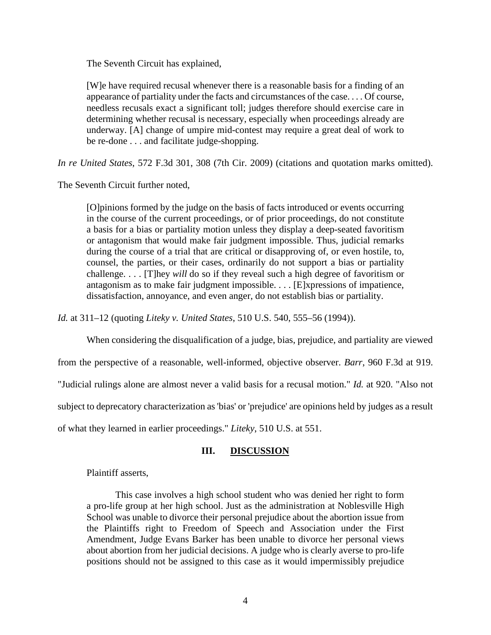The Seventh Circuit has explained,

[W]e have required recusal whenever there is a reasonable basis for a finding of an appearance of partiality under the facts and circumstances of the case. . . . Of course, needless recusals exact a significant toll; judges therefore should exercise care in determining whether recusal is necessary, especially when proceedings already are underway. [A] change of umpire mid-contest may require a great deal of work to be re-done . . . and facilitate judge-shopping.

*In re United States*, 572 F.3d 301, 308 (7th Cir. 2009) (citations and quotation marks omitted).

The Seventh Circuit further noted,

[O]pinions formed by the judge on the basis of facts introduced or events occurring in the course of the current proceedings, or of prior proceedings, do not constitute a basis for a bias or partiality motion unless they display a deep-seated favoritism or antagonism that would make fair judgment impossible. Thus, judicial remarks during the course of a trial that are critical or disapproving of, or even hostile, to, counsel, the parties, or their cases, ordinarily do not support a bias or partiality challenge. . . . [T]hey *will* do so if they reveal such a high degree of favoritism or antagonism as to make fair judgment impossible. . . . [E]xpressions of impatience, dissatisfaction, annoyance, and even anger, do not establish bias or partiality.

*Id.* at 311–12 (quoting *Liteky v. United States*, 510 U.S. 540, 555–56 (1994)).

When considering the disqualification of a judge, bias, prejudice, and partiality are viewed

from the perspective of a reasonable, well-informed, objective observer. *Barr*, 960 F.3d at 919.

"Judicial rulings alone are almost never a valid basis for a recusal motion." *Id.* at 920. "Also not

subject to deprecatory characterization as 'bias' or 'prejudice' are opinions held by judges as a result

of what they learned in earlier proceedings." *Liteky*, 510 U.S. at 551.

## **III. DISCUSSION**

Plaintiff asserts,

This case involves a high school student who was denied her right to form a pro-life group at her high school. Just as the administration at Noblesville High School was unable to divorce their personal prejudice about the abortion issue from the Plaintiffs right to Freedom of Speech and Association under the First Amendment, Judge Evans Barker has been unable to divorce her personal views about abortion from her judicial decisions. A judge who is clearly averse to pro-life positions should not be assigned to this case as it would impermissibly prejudice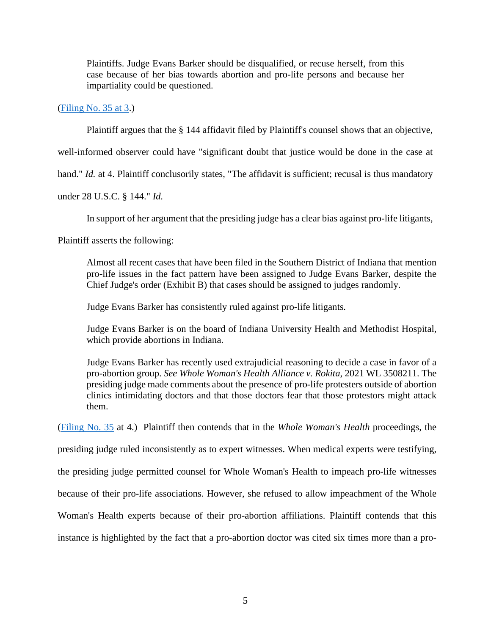Plaintiffs. Judge Evans Barker should be disqualified, or recuse herself, from this case because of her bias towards abortion and pro-life persons and because her impartiality could be questioned.

### [\(Filing No. 35 at 3.](https://ecf.insd.uscourts.gov/doc1/07319049742?page=3))

Plaintiff argues that the § 144 affidavit filed by Plaintiff's counsel shows that an objective,

well-informed observer could have "significant doubt that justice would be done in the case at

hand." *Id.* at 4. Plaintiff conclusorily states, "The affidavit is sufficient; recusal is thus mandatory

under 28 U.S.C. § 144." *Id.*

In support of her argument that the presiding judge has a clear bias against pro-life litigants,

Plaintiff asserts the following:

Almost all recent cases that have been filed in the Southern District of Indiana that mention pro-life issues in the fact pattern have been assigned to Judge Evans Barker, despite the Chief Judge's order (Exhibit B) that cases should be assigned to judges randomly.

Judge Evans Barker has consistently ruled against pro-life litigants*.*

Judge Evans Barker is on the board of Indiana University Health and Methodist Hospital, which provide abortions in Indiana.

Judge Evans Barker has recently used extrajudicial reasoning to decide a case in favor of a pro-abortion group. *See Whole Woman's Health Alliance v. Rokita*, 2021 WL 3508211. The presiding judge made comments about the presence of pro-life protesters outside of abortion clinics intimidating doctors and that those doctors fear that those protestors might attack them.

[\(Filing No. 35](https://ecf.insd.uscourts.gov/doc1/07319049742) at 4.) Plaintiff then contends that in the *Whole Woman's Health* proceedings, the presiding judge ruled inconsistently as to expert witnesses. When medical experts were testifying, the presiding judge permitted counsel for Whole Woman's Health to impeach pro-life witnesses because of their pro-life associations. However, she refused to allow impeachment of the Whole Woman's Health experts because of their pro-abortion affiliations. Plaintiff contends that this instance is highlighted by the fact that a pro-abortion doctor was cited six times more than a pro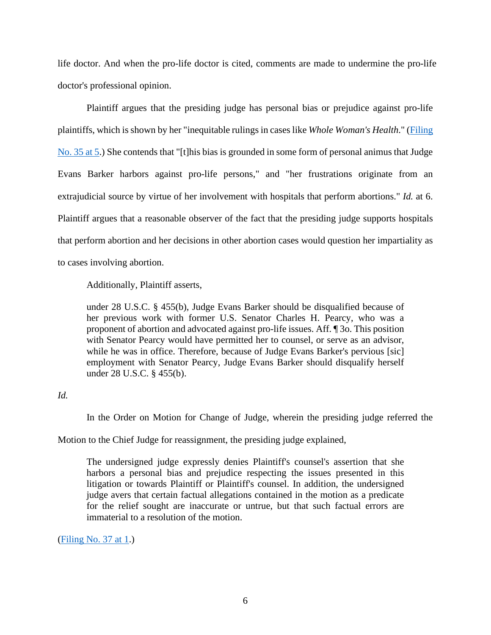life doctor. And when the pro-life doctor is cited, comments are made to undermine the pro-life doctor's professional opinion.

Plaintiff argues that the presiding judge has personal bias or prejudice against pro-life plaintiffs, which is shown by her "inequitable rulings in cases like *Whole Woman's Health*." [\(Filing](https://ecf.insd.uscourts.gov/doc1/07319049742?page=5)  [No. 35 at 5.](https://ecf.insd.uscourts.gov/doc1/07319049742?page=5)) She contends that "[t]his bias is grounded in some form of personal animus that Judge Evans Barker harbors against pro-life persons," and "her frustrations originate from an extrajudicial source by virtue of her involvement with hospitals that perform abortions." *Id.* at 6. Plaintiff argues that a reasonable observer of the fact that the presiding judge supports hospitals that perform abortion and her decisions in other abortion cases would question her impartiality as to cases involving abortion.

Additionally, Plaintiff asserts,

under 28 U.S.C. § 455(b), Judge Evans Barker should be disqualified because of her previous work with former U.S. Senator Charles H. Pearcy, who was a proponent of abortion and advocated against pro-life issues. Aff. ¶ 3o. This position with Senator Pearcy would have permitted her to counsel, or serve as an advisor, while he was in office. Therefore, because of Judge Evans Barker's pervious [sic] employment with Senator Pearcy, Judge Evans Barker should disqualify herself under 28 U.S.C. § 455(b).

*Id.*

In the Order on Motion for Change of Judge, wherein the presiding judge referred the

Motion to the Chief Judge for reassignment, the presiding judge explained,

The undersigned judge expressly denies Plaintiff's counsel's assertion that she harbors a personal bias and prejudice respecting the issues presented in this litigation or towards Plaintiff or Plaintiff's counsel. In addition, the undersigned judge avers that certain factual allegations contained in the motion as a predicate for the relief sought are inaccurate or untrue, but that such factual errors are immaterial to a resolution of the motion.

[\(Filing No. 37 at 1.](https://ecf.insd.uscourts.gov/doc1/07319053199?page=1))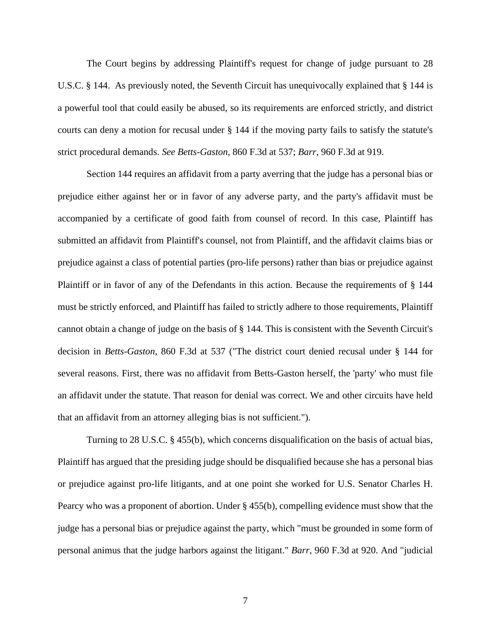The Court begins by addressing Plaintiff's request for change of judge pursuant to 28 U.S.C. § 144. As previously noted, the Seventh Circuit has unequivocally explained that § 144 is a powerful tool that could easily be abused, so its requirements are enforced strictly, and district courts can deny a motion for recusal under § 144 if the moving party fails to satisfy the statute's strict procedural demands. *See Betts-Gaston*, 860 F.3d at 537; *Barr*, 960 F.3d at 919.

Section 144 requires an affidavit from a party averring that the judge has a personal bias or prejudice either against her or in favor of any adverse party, and the party's affidavit must be accompanied by a certificate of good faith from counsel of record. In this case, Plaintiff has submitted an affidavit from Plaintiff's counsel, not from Plaintiff, and the affidavit claims bias or prejudice against a class of potential parties (pro-life persons) rather than bias or prejudice against Plaintiff or in favor of any of the Defendants in this action. Because the requirements of § 144 must be strictly enforced, and Plaintiff has failed to strictly adhere to those requirements, Plaintiff cannot obtain a change of judge on the basis of § 144. This is consistent with the Seventh Circuit's decision in *Betts-Gaston*, 860 F.3d at 537 ("The district court denied recusal under § 144 for several reasons. First, there was no affidavit from Betts-Gaston herself, the 'party' who must file an affidavit under the statute. That reason for denial was correct. We and other circuits have held that an affidavit from an attorney alleging bias is not sufficient.").

Turning to 28 U.S.C. § 455(b), which concerns disqualification on the basis of actual bias, Plaintiff has argued that the presiding judge should be disqualified because she has a personal bias or prejudice against pro-life litigants, and at one point she worked for U.S. Senator Charles H. Pearcy who was a proponent of abortion. Under § 455(b), compelling evidence must show that the judge has a personal bias or prejudice against the party, which "must be grounded in some form of personal animus that the judge harbors against the litigant." *Barr*, 960 F.3d at 920. And "judicial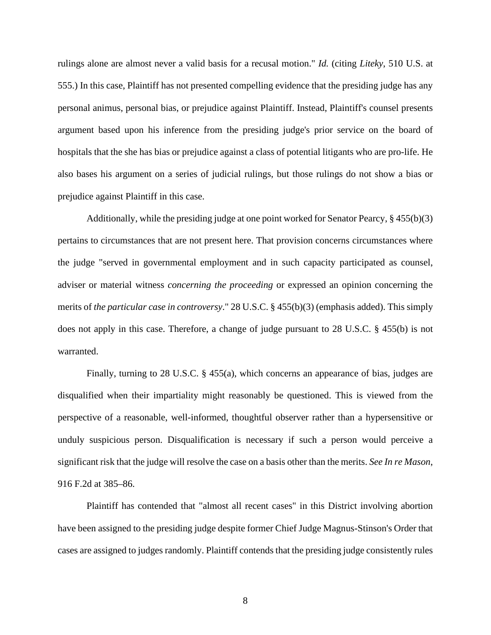rulings alone are almost never a valid basis for a recusal motion." *Id.* (citing *Liteky*, 510 U.S. at 555.) In this case, Plaintiff has not presented compelling evidence that the presiding judge has any personal animus, personal bias, or prejudice against Plaintiff. Instead, Plaintiff's counsel presents argument based upon his inference from the presiding judge's prior service on the board of hospitals that the she has bias or prejudice against a class of potential litigants who are pro-life. He also bases his argument on a series of judicial rulings, but those rulings do not show a bias or prejudice against Plaintiff in this case.

Additionally, while the presiding judge at one point worked for Senator Pearcy, § 455(b)(3) pertains to circumstances that are not present here. That provision concerns circumstances where the judge "served in governmental employment and in such capacity participated as counsel, adviser or material witness *concerning the proceeding* or expressed an opinion concerning the merits of *the particular case in controversy*." 28 U.S.C. § 455(b)(3) (emphasis added). This simply does not apply in this case. Therefore, a change of judge pursuant to 28 U.S.C. § 455(b) is not warranted.

Finally, turning to 28 U.S.C. § 455(a), which concerns an appearance of bias, judges are disqualified when their impartiality might reasonably be questioned. This is viewed from the perspective of a reasonable, well-informed, thoughtful observer rather than a hypersensitive or unduly suspicious person. Disqualification is necessary if such a person would perceive a significant risk that the judge will resolve the case on a basis other than the merits. *See In re Mason*, 916 F.2d at 385–86.

Plaintiff has contended that "almost all recent cases" in this District involving abortion have been assigned to the presiding judge despite former Chief Judge Magnus-Stinson's Order that cases are assigned to judges randomly. Plaintiff contends that the presiding judge consistently rules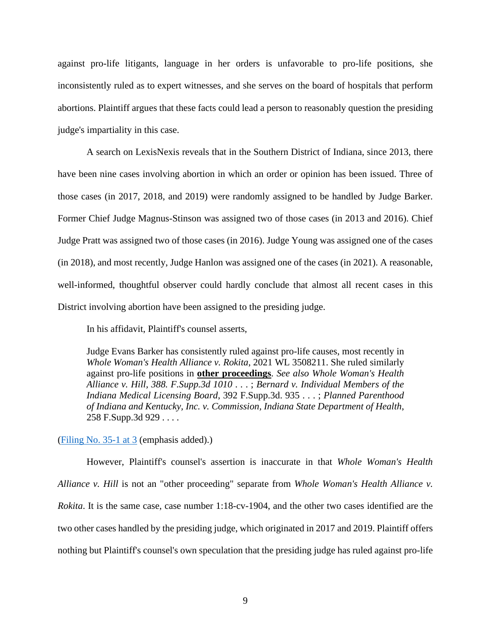against pro-life litigants, language in her orders is unfavorable to pro-life positions, she inconsistently ruled as to expert witnesses, and she serves on the board of hospitals that perform abortions. Plaintiff argues that these facts could lead a person to reasonably question the presiding judge's impartiality in this case.

A search on LexisNexis reveals that in the Southern District of Indiana, since 2013, there have been nine cases involving abortion in which an order or opinion has been issued. Three of those cases (in 2017, 2018, and 2019) were randomly assigned to be handled by Judge Barker. Former Chief Judge Magnus-Stinson was assigned two of those cases (in 2013 and 2016). Chief Judge Pratt was assigned two of those cases (in 2016). Judge Young was assigned one of the cases (in 2018), and most recently, Judge Hanlon was assigned one of the cases (in 2021). A reasonable, well-informed, thoughtful observer could hardly conclude that almost all recent cases in this District involving abortion have been assigned to the presiding judge.

In his affidavit, Plaintiff's counsel asserts,

Judge Evans Barker has consistently ruled against pro-life causes, most recently in *Whole Woman's Health Alliance v. Rokita*, 2021 WL 3508211. She ruled similarly against pro-life positions in **other proceedings**. *See also Whole Woman's Health Alliance v. Hill, 388. F.Supp.3d 1010* . . . ; *Bernard v. Individual Members of the Indiana Medical Licensing Board*, 392 F.Supp.3d. 935 . . . ; *Planned Parenthood of Indiana and Kentucky, Inc. v. Commission, Indiana State Department of Health*, 258 F.Supp.3d 929 . . . .

[\(Filing No. 35-1 at 3](https://ecf.insd.uscourts.gov/doc1/07319049743?page=3) (emphasis added).)

However, Plaintiff's counsel's assertion is inaccurate in that *Whole Woman's Health Alliance v. Hill* is not an "other proceeding" separate from *Whole Woman's Health Alliance v. Rokita*. It is the same case, case number 1:18-cv-1904, and the other two cases identified are the two other cases handled by the presiding judge, which originated in 2017 and 2019. Plaintiff offers nothing but Plaintiff's counsel's own speculation that the presiding judge has ruled against pro-life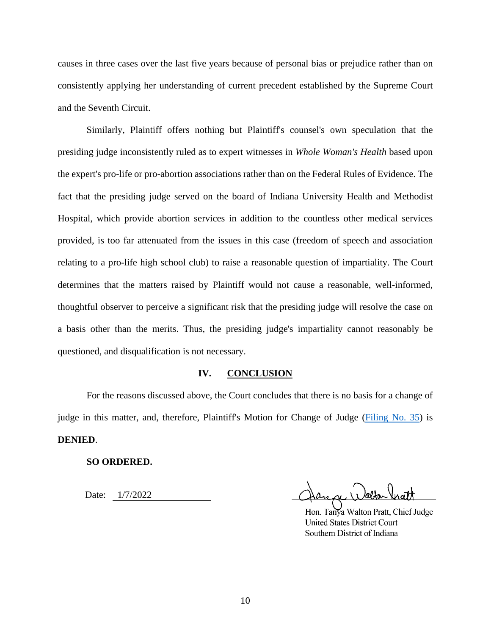causes in three cases over the last five years because of personal bias or prejudice rather than on consistently applying her understanding of current precedent established by the Supreme Court and the Seventh Circuit.

Similarly, Plaintiff offers nothing but Plaintiff's counsel's own speculation that the presiding judge inconsistently ruled as to expert witnesses in *Whole Woman's Health* based upon the expert's pro-life or pro-abortion associations rather than on the Federal Rules of Evidence. The fact that the presiding judge served on the board of Indiana University Health and Methodist Hospital, which provide abortion services in addition to the countless other medical services provided, is too far attenuated from the issues in this case (freedom of speech and association relating to a pro-life high school club) to raise a reasonable question of impartiality. The Court determines that the matters raised by Plaintiff would not cause a reasonable, well-informed, thoughtful observer to perceive a significant risk that the presiding judge will resolve the case on a basis other than the merits. Thus, the presiding judge's impartiality cannot reasonably be questioned, and disqualification is not necessary.

### **IV. CONCLUSION**

For the reasons discussed above, the Court concludes that there is no basis for a change of judge in this matter, and, therefore, Plaintiff's Motion for Change of Judge [\(Filing No. 35\)](https://ecf.insd.uscourts.gov/doc1/07319049742) is **DENIED**.

### **SO ORDERED.**

Date: 1/7/2022

Hon. Tanya Walton Pratt, Chief Judge **United States District Court** Southern District of Indiana